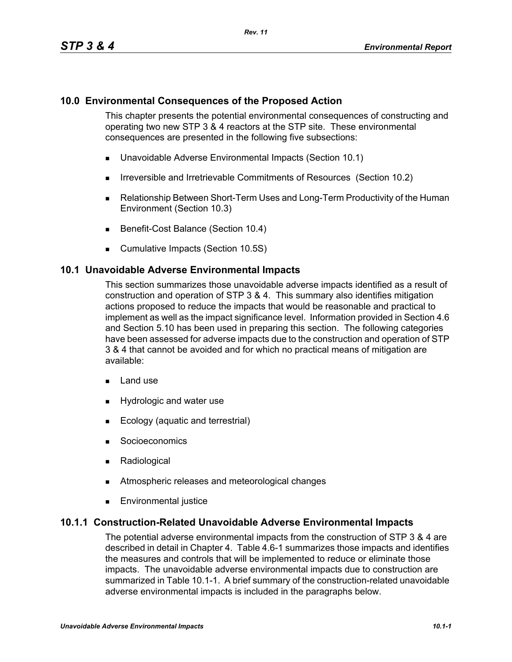## **10.0 Environmental Consequences of the Proposed Action**

This chapter presents the potential environmental consequences of constructing and operating two new STP 3 & 4 reactors at the STP site. These environmental consequences are presented in the following five subsections:

- Unavoidable Adverse Environmental Impacts (Section 10.1)
- **IFIRE 19.5 Irreversible and Irretrievable Commitments of Resources (Section 10.2)**
- Relationship Between Short-Term Uses and Long-Term Productivity of the Human Environment (Section 10.3)
- Benefit-Cost Balance (Section 10.4)
- **Cumulative Impacts (Section 10.5S)**

#### **10.1 Unavoidable Adverse Environmental Impacts**

This section summarizes those unavoidable adverse impacts identified as a result of construction and operation of STP 3 & 4. This summary also identifies mitigation actions proposed to reduce the impacts that would be reasonable and practical to implement as well as the impact significance level. Information provided in Section 4.6 and Section 5.10 has been used in preparing this section. The following categories have been assessed for adverse impacts due to the construction and operation of STP 3 & 4 that cannot be avoided and for which no practical means of mitigation are available:

- $\blacksquare$  Land use
- **Hydrologic and water use**
- **Ecology (aquatic and terrestrial)**
- **Socioeconomics**
- **Radiological**
- **EXECUTE:** Atmospheric releases and meteorological changes
- **Environmental justice**

#### **10.1.1 Construction-Related Unavoidable Adverse Environmental Impacts**

The potential adverse environmental impacts from the construction of STP 3 & 4 are described in detail in Chapter 4. Table 4.6-1 summarizes those impacts and identifies the measures and controls that will be implemented to reduce or eliminate those impacts. The unavoidable adverse environmental impacts due to construction are summarized in Table 10.1-1. A brief summary of the construction-related unavoidable adverse environmental impacts is included in the paragraphs below.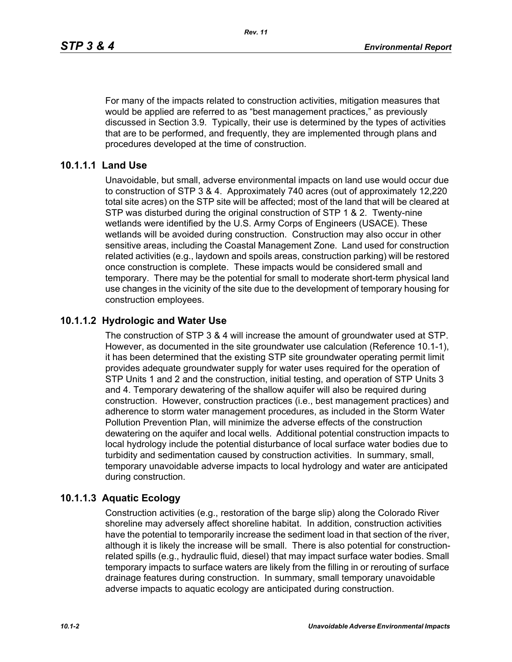For many of the impacts related to construction activities, mitigation measures that would be applied are referred to as "best management practices," as previously discussed in Section 3.9. Typically, their use is determined by the types of activities that are to be performed, and frequently, they are implemented through plans and procedures developed at the time of construction.

### **10.1.1.1 Land Use**

Unavoidable, but small, adverse environmental impacts on land use would occur due to construction of STP 3 & 4. Approximately 740 acres (out of approximately 12,220 total site acres) on the STP site will be affected; most of the land that will be cleared at STP was disturbed during the original construction of STP 1 & 2. Twenty-nine wetlands were identified by the U.S. Army Corps of Engineers (USACE). These wetlands will be avoided during construction. Construction may also occur in other sensitive areas, including the Coastal Management Zone. Land used for construction related activities (e.g., laydown and spoils areas, construction parking) will be restored once construction is complete. These impacts would be considered small and temporary. There may be the potential for small to moderate short-term physical land use changes in the vicinity of the site due to the development of temporary housing for construction employees.

# **10.1.1.2 Hydrologic and Water Use**

The construction of STP 3 & 4 will increase the amount of groundwater used at STP. However, as documented in the site groundwater use calculation (Reference 10.1-1), it has been determined that the existing STP site groundwater operating permit limit provides adequate groundwater supply for water uses required for the operation of STP Units 1 and 2 and the construction, initial testing, and operation of STP Units 3 and 4. Temporary dewatering of the shallow aquifer will also be required during construction. However, construction practices (i.e., best management practices) and adherence to storm water management procedures, as included in the Storm Water Pollution Prevention Plan, will minimize the adverse effects of the construction dewatering on the aquifer and local wells. Additional potential construction impacts to local hydrology include the potential disturbance of local surface water bodies due to turbidity and sedimentation caused by construction activities. In summary, small, temporary unavoidable adverse impacts to local hydrology and water are anticipated during construction.

# **10.1.1.3 Aquatic Ecology**

Construction activities (e.g., restoration of the barge slip) along the Colorado River shoreline may adversely affect shoreline habitat. In addition, construction activities have the potential to temporarily increase the sediment load in that section of the river, although it is likely the increase will be small. There is also potential for constructionrelated spills (e.g., hydraulic fluid, diesel) that may impact surface water bodies. Small temporary impacts to surface waters are likely from the filling in or rerouting of surface drainage features during construction. In summary, small temporary unavoidable adverse impacts to aquatic ecology are anticipated during construction.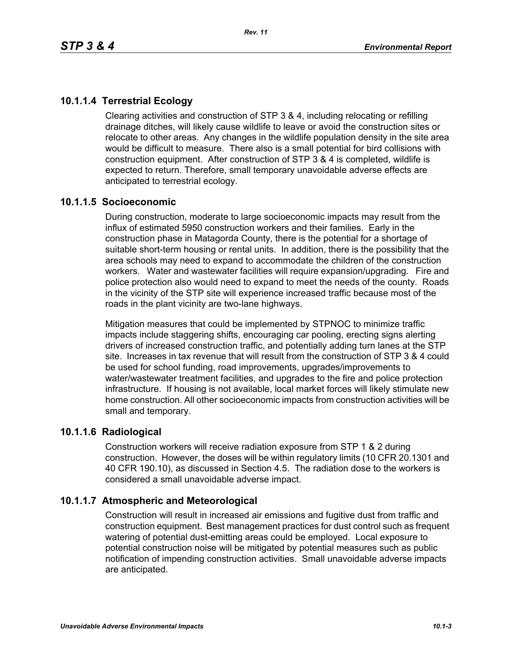# **10.1.1.4 Terrestrial Ecology**

Clearing activities and construction of STP 3 & 4, including relocating or refilling drainage ditches, will likely cause wildlife to leave or avoid the construction sites or relocate to other areas. Any changes in the wildlife population density in the site area would be difficult to measure. There also is a small potential for bird collisions with construction equipment. After construction of STP 3 & 4 is completed, wildlife is expected to return. Therefore, small temporary unavoidable adverse effects are anticipated to terrestrial ecology.

### **10.1.1.5 Socioeconomic**

During construction, moderate to large socioeconomic impacts may result from the influx of estimated 5950 construction workers and their families. Early in the construction phase in Matagorda County, there is the potential for a shortage of suitable short-term housing or rental units. In addition, there is the possibility that the area schools may need to expand to accommodate the children of the construction workers. Water and wastewater facilities will require expansion/upgrading. Fire and police protection also would need to expand to meet the needs of the county. Roads in the vicinity of the STP site will experience increased traffic because most of the roads in the plant vicinity are two-lane highways.

Mitigation measures that could be implemented by STPNOC to minimize traffic impacts include staggering shifts, encouraging car pooling, erecting signs alerting drivers of increased construction traffic, and potentially adding turn lanes at the STP site. Increases in tax revenue that will result from the construction of STP 3 & 4 could be used for school funding, road improvements, upgrades/improvements to water/wastewater treatment facilities, and upgrades to the fire and police protection infrastructure. If housing is not available, local market forces will likely stimulate new home construction. All other socioeconomic impacts from construction activities will be small and temporary.

### **10.1.1.6 Radiological**

Construction workers will receive radiation exposure from STP 1 & 2 during construction. However, the doses will be within regulatory limits (10 CFR 20.1301 and 40 CFR 190.10), as discussed in Section 4.5. The radiation dose to the workers is considered a small unavoidable adverse impact.

# **10.1.1.7 Atmospheric and Meteorological**

Construction will result in increased air emissions and fugitive dust from traffic and construction equipment. Best management practices for dust control such as frequent watering of potential dust-emitting areas could be employed. Local exposure to potential construction noise will be mitigated by potential measures such as public notification of impending construction activities. Small unavoidable adverse impacts are anticipated.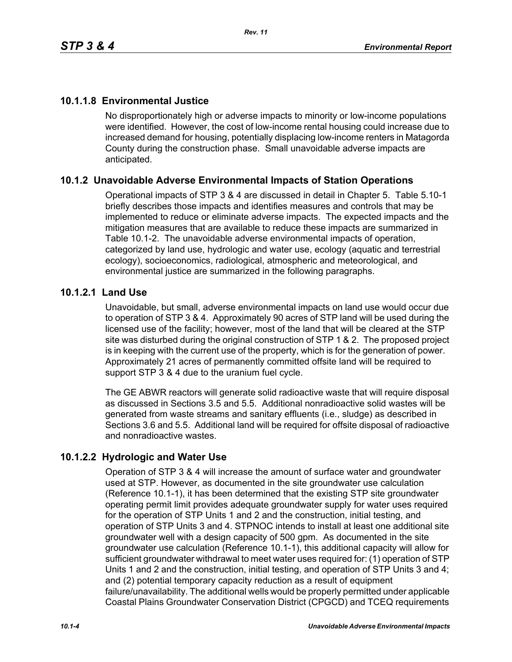# **10.1.1.8 Environmental Justice**

No disproportionately high or adverse impacts to minority or low-income populations were identified. However, the cost of low-income rental housing could increase due to increased demand for housing, potentially displacing low-income renters in Matagorda County during the construction phase. Small unavoidable adverse impacts are anticipated.

# **10.1.2 Unavoidable Adverse Environmental Impacts of Station Operations**

Operational impacts of STP 3 & 4 are discussed in detail in Chapter 5. Table 5.10-1 briefly describes those impacts and identifies measures and controls that may be implemented to reduce or eliminate adverse impacts. The expected impacts and the mitigation measures that are available to reduce these impacts are summarized in Table 10.1-2. The unavoidable adverse environmental impacts of operation, categorized by land use, hydrologic and water use, ecology (aquatic and terrestrial ecology), socioeconomics, radiological, atmospheric and meteorological, and environmental justice are summarized in the following paragraphs.

### **10.1.2.1 Land Use**

Unavoidable, but small, adverse environmental impacts on land use would occur due to operation of STP 3 & 4. Approximately 90 acres of STP land will be used during the licensed use of the facility; however, most of the land that will be cleared at the STP site was disturbed during the original construction of STP 1 & 2. The proposed project is in keeping with the current use of the property, which is for the generation of power. Approximately 21 acres of permanently committed offsite land will be required to support STP 3 & 4 due to the uranium fuel cycle.

The GE ABWR reactors will generate solid radioactive waste that will require disposal as discussed in Sections 3.5 and 5.5. Additional nonradioactive solid wastes will be generated from waste streams and sanitary effluents (i.e., sludge) as described in Sections 3.6 and 5.5. Additional land will be required for offsite disposal of radioactive and nonradioactive wastes.

# **10.1.2.2 Hydrologic and Water Use**

Operation of STP 3 & 4 will increase the amount of surface water and groundwater used at STP. However, as documented in the site groundwater use calculation (Reference 10.1-1), it has been determined that the existing STP site groundwater operating permit limit provides adequate groundwater supply for water uses required for the operation of STP Units 1 and 2 and the construction, initial testing, and operation of STP Units 3 and 4. STPNOC intends to install at least one additional site groundwater well with a design capacity of 500 gpm. As documented in the site groundwater use calculation (Reference 10.1-1), this additional capacity will allow for sufficient groundwater withdrawal to meet water uses required for: (1) operation of STP Units 1 and 2 and the construction, initial testing, and operation of STP Units 3 and 4; and (2) potential temporary capacity reduction as a result of equipment failure/unavailability. The additional wells would be properly permitted under applicable Coastal Plains Groundwater Conservation District (CPGCD) and TCEQ requirements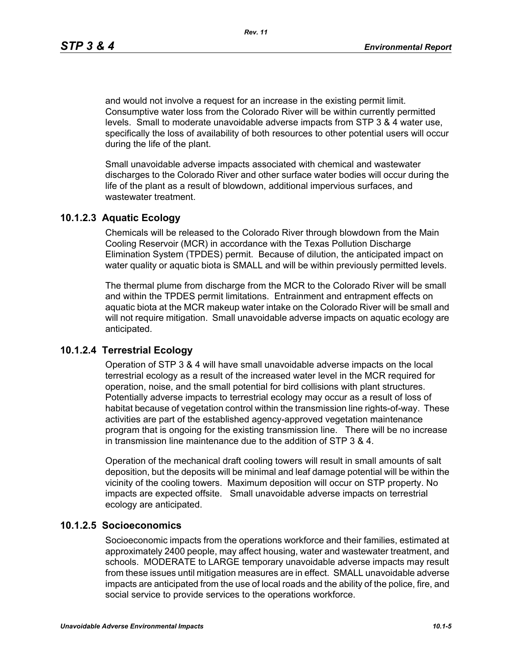and would not involve a request for an increase in the existing permit limit. Consumptive water loss from the Colorado River will be within currently permitted levels. Small to moderate unavoidable adverse impacts from STP 3 & 4 water use, specifically the loss of availability of both resources to other potential users will occur during the life of the plant.

Small unavoidable adverse impacts associated with chemical and wastewater discharges to the Colorado River and other surface water bodies will occur during the life of the plant as a result of blowdown, additional impervious surfaces, and wastewater treatment.

### **10.1.2.3 Aquatic Ecology**

Chemicals will be released to the Colorado River through blowdown from the Main Cooling Reservoir (MCR) in accordance with the Texas Pollution Discharge Elimination System (TPDES) permit. Because of dilution, the anticipated impact on water quality or aquatic biota is SMALL and will be within previously permitted levels.

The thermal plume from discharge from the MCR to the Colorado River will be small and within the TPDES permit limitations. Entrainment and entrapment effects on aquatic biota at the MCR makeup water intake on the Colorado River will be small and will not require mitigation. Small unavoidable adverse impacts on aquatic ecology are anticipated.

### **10.1.2.4 Terrestrial Ecology**

Operation of STP 3 & 4 will have small unavoidable adverse impacts on the local terrestrial ecology as a result of the increased water level in the MCR required for operation, noise, and the small potential for bird collisions with plant structures. Potentially adverse impacts to terrestrial ecology may occur as a result of loss of habitat because of vegetation control within the transmission line rights-of-way. These activities are part of the established agency-approved vegetation maintenance program that is ongoing for the existing transmission line. There will be no increase in transmission line maintenance due to the addition of STP 3 & 4.

Operation of the mechanical draft cooling towers will result in small amounts of salt deposition, but the deposits will be minimal and leaf damage potential will be within the vicinity of the cooling towers. Maximum deposition will occur on STP property. No impacts are expected offsite. Small unavoidable adverse impacts on terrestrial ecology are anticipated.

#### **10.1.2.5 Socioeconomics**

Socioeconomic impacts from the operations workforce and their families, estimated at approximately 2400 people, may affect housing, water and wastewater treatment, and schools. MODERATE to LARGE temporary unavoidable adverse impacts may result from these issues until mitigation measures are in effect. SMALL unavoidable adverse impacts are anticipated from the use of local roads and the ability of the police, fire, and social service to provide services to the operations workforce.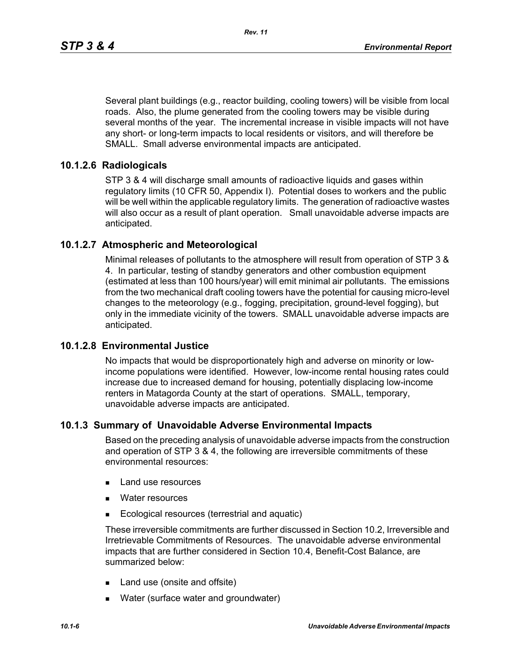Several plant buildings (e.g., reactor building, cooling towers) will be visible from local roads. Also, the plume generated from the cooling towers may be visible during several months of the year. The incremental increase in visible impacts will not have any short- or long-term impacts to local residents or visitors, and will therefore be SMALL. Small adverse environmental impacts are anticipated.

### **10.1.2.6 Radiologicals**

STP 3 & 4 will discharge small amounts of radioactive liquids and gases within regulatory limits (10 CFR 50, Appendix I). Potential doses to workers and the public will be well within the applicable regulatory limits. The generation of radioactive wastes will also occur as a result of plant operation. Small unavoidable adverse impacts are anticipated.

### **10.1.2.7 Atmospheric and Meteorological**

Minimal releases of pollutants to the atmosphere will result from operation of STP 3 & 4. In particular, testing of standby generators and other combustion equipment (estimated at less than 100 hours/year) will emit minimal air pollutants. The emissions from the two mechanical draft cooling towers have the potential for causing micro-level changes to the meteorology (e.g., fogging, precipitation, ground-level fogging), but only in the immediate vicinity of the towers. SMALL unavoidable adverse impacts are anticipated.

#### **10.1.2.8 Environmental Justice**

No impacts that would be disproportionately high and adverse on minority or lowincome populations were identified. However, low-income rental housing rates could increase due to increased demand for housing, potentially displacing low-income renters in Matagorda County at the start of operations. SMALL, temporary, unavoidable adverse impacts are anticipated.

#### **10.1.3 Summary of Unavoidable Adverse Environmental Impacts**

Based on the preceding analysis of unavoidable adverse impacts from the construction and operation of STP 3 & 4, the following are irreversible commitments of these environmental resources:

- **Land use resources**
- **Nater resources**
- **Ecological resources (terrestrial and aquatic)**

These irreversible commitments are further discussed in Section 10.2, Irreversible and Irretrievable Commitments of Resources. The unavoidable adverse environmental impacts that are further considered in Section 10.4, Benefit-Cost Balance, are summarized below:

- Land use (onsite and offsite)
- **Nater (surface water and groundwater)**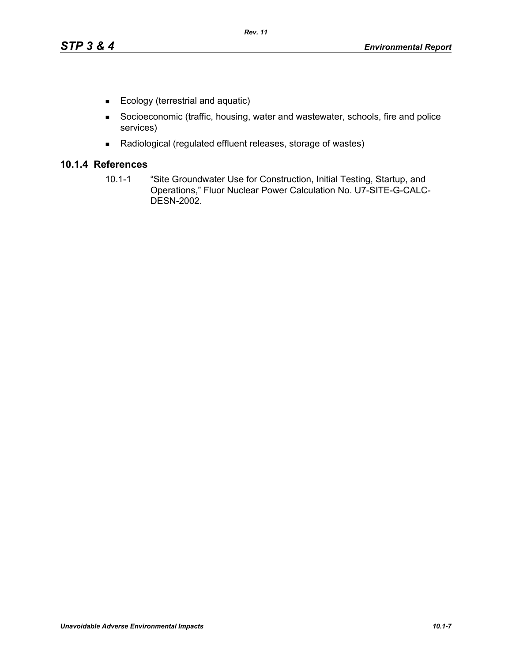- Ecology (terrestrial and aquatic)
- Socioeconomic (traffic, housing, water and wastewater, schools, fire and police services)
- Radiological (regulated effluent releases, storage of wastes)

### **10.1.4 References**

10.1-1 "Site Groundwater Use for Construction, Initial Testing, Startup, and Operations," Fluor Nuclear Power Calculation No. U7-SITE-G-CALC-DESN-2002.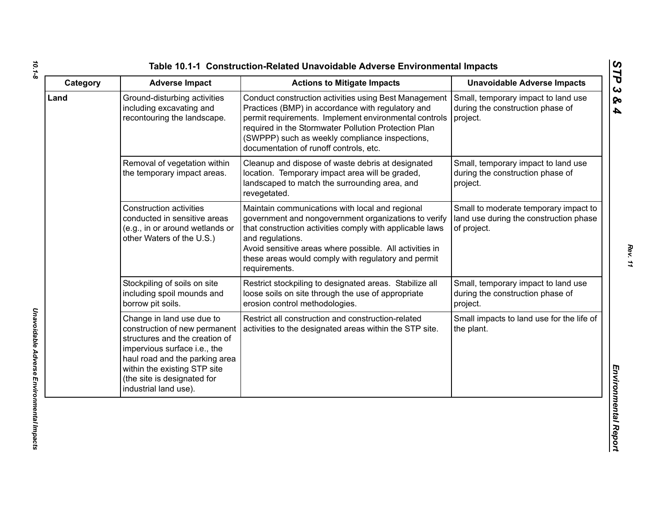| Category | <b>Adverse Impact</b>                                                                                                                                                                                                                                  | <b>Actions to Mitigate Impacts</b>                                                                                                                                                                                                                                                                                         | <b>Unavoidable Adverse Impacts</b>                                                             |
|----------|--------------------------------------------------------------------------------------------------------------------------------------------------------------------------------------------------------------------------------------------------------|----------------------------------------------------------------------------------------------------------------------------------------------------------------------------------------------------------------------------------------------------------------------------------------------------------------------------|------------------------------------------------------------------------------------------------|
| Land     | Ground-disturbing activities<br>including excavating and<br>recontouring the landscape.                                                                                                                                                                | Conduct construction activities using Best Management<br>Practices (BMP) in accordance with regulatory and<br>permit requirements. Implement environmental controls<br>required in the Stormwater Pollution Protection Plan<br>(SWPPP) such as weekly compliance inspections,<br>documentation of runoff controls, etc.    | Small, temporary impact to land use<br>during the construction phase of<br>project.            |
|          | Removal of vegetation within<br>the temporary impact areas.                                                                                                                                                                                            | Cleanup and dispose of waste debris at designated<br>location. Temporary impact area will be graded,<br>landscaped to match the surrounding area, and<br>revegetated.                                                                                                                                                      | Small, temporary impact to land use<br>during the construction phase of<br>project.            |
|          | <b>Construction activities</b><br>conducted in sensitive areas<br>(e.g., in or around wetlands or<br>other Waters of the U.S.)                                                                                                                         | Maintain communications with local and regional<br>government and nongovernment organizations to verify<br>that construction activities comply with applicable laws<br>and regulations.<br>Avoid sensitive areas where possible. All activities in<br>these areas would comply with regulatory and permit<br>requirements. | Small to moderate temporary impact to<br>land use during the construction phase<br>of project. |
|          | Stockpiling of soils on site<br>including spoil mounds and<br>borrow pit soils.                                                                                                                                                                        | Restrict stockpiling to designated areas. Stabilize all<br>loose soils on site through the use of appropriate<br>erosion control methodologies.                                                                                                                                                                            | Small, temporary impact to land use<br>during the construction phase of<br>project.            |
|          | Change in land use due to<br>construction of new permanent<br>structures and the creation of<br>impervious surface i.e., the<br>haul road and the parking area<br>within the existing STP site<br>(the site is designated for<br>industrial land use). | Restrict all construction and construction-related<br>activities to the designated areas within the STP site.                                                                                                                                                                                                              | Small impacts to land use for the life of<br>the plant.                                        |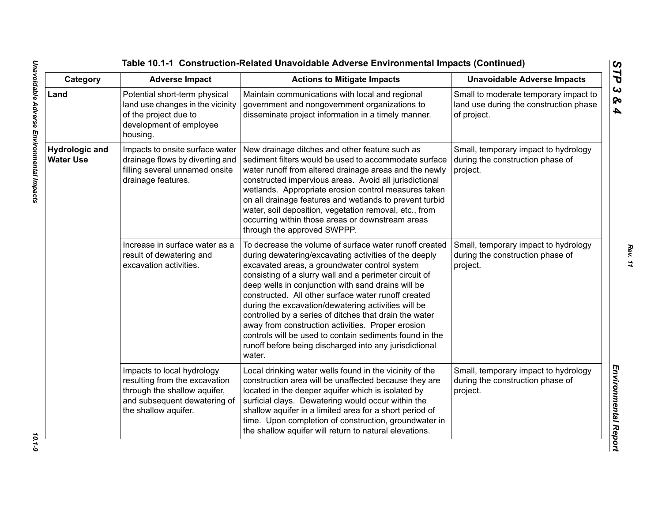| Category                                  | <b>Adverse Impact</b>                                                                                                                               | <b>Actions to Mitigate Impacts</b>                                                                                                                                                                                                                                                                                                                                                                                                                                                                                                                                                                                                           | <b>Unavoidable Adverse Impacts</b>                                                             |
|-------------------------------------------|-----------------------------------------------------------------------------------------------------------------------------------------------------|----------------------------------------------------------------------------------------------------------------------------------------------------------------------------------------------------------------------------------------------------------------------------------------------------------------------------------------------------------------------------------------------------------------------------------------------------------------------------------------------------------------------------------------------------------------------------------------------------------------------------------------------|------------------------------------------------------------------------------------------------|
| Land                                      | Potential short-term physical<br>land use changes in the vicinity<br>of the project due to<br>development of employee<br>housing.                   | Maintain communications with local and regional<br>government and nongovernment organizations to<br>disseminate project information in a timely manner.                                                                                                                                                                                                                                                                                                                                                                                                                                                                                      | Small to moderate temporary impact to<br>land use during the construction phase<br>of project. |
| <b>Hydrologic and</b><br><b>Water Use</b> | Impacts to onsite surface water<br>drainage flows by diverting and<br>filling several unnamed onsite<br>drainage features.                          | New drainage ditches and other feature such as<br>sediment filters would be used to accommodate surface<br>water runoff from altered drainage areas and the newly<br>constructed impervious areas. Avoid all jurisdictional<br>wetlands. Appropriate erosion control measures taken<br>on all drainage features and wetlands to prevent turbid<br>water, soil deposition, vegetation removal, etc., from<br>occurring within those areas or downstream areas<br>through the approved SWPPP.                                                                                                                                                  | Small, temporary impact to hydrology<br>during the construction phase of<br>project.           |
|                                           | Increase in surface water as a<br>result of dewatering and<br>excavation activities.                                                                | To decrease the volume of surface water runoff created<br>during dewatering/excavating activities of the deeply<br>excavated areas, a groundwater control system<br>consisting of a slurry wall and a perimeter circuit of<br>deep wells in conjunction with sand drains will be<br>constructed. All other surface water runoff created<br>during the excavation/dewatering activities will be<br>controlled by a series of ditches that drain the water<br>away from construction activities. Proper erosion<br>controls will be used to contain sediments found in the<br>runoff before being discharged into any jurisdictional<br>water. | Small, temporary impact to hydrology<br>during the construction phase of<br>project.           |
|                                           | Impacts to local hydrology<br>resulting from the excavation<br>through the shallow aquifer,<br>and subsequent dewatering of<br>the shallow aquifer. | Local drinking water wells found in the vicinity of the<br>construction area will be unaffected because they are<br>located in the deeper aquifer which is isolated by<br>surficial clays. Dewatering would occur within the<br>shallow aquifer in a limited area for a short period of<br>time. Upon completion of construction, groundwater in<br>the shallow aquifer will return to natural elevations.                                                                                                                                                                                                                                   | Small, temporary impact to hydrology<br>during the construction phase of<br>project.           |

 $10.1 - 9$ 

*Rev. 11*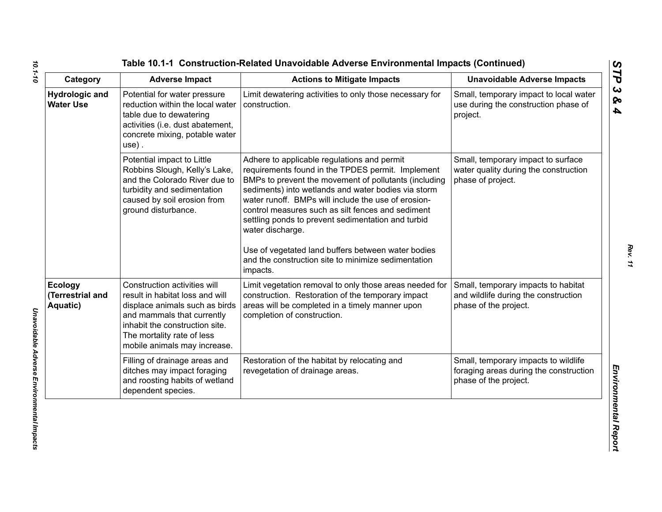| Category                                       | <b>Adverse Impact</b>                                                                                                                                                                                                           | <b>Actions to Mitigate Impacts</b>                                                                                                                                                                                                                                                                                                                                                                                                                                                                                              | <b>Unavoidable Adverse Impacts</b>                                                                      |
|------------------------------------------------|---------------------------------------------------------------------------------------------------------------------------------------------------------------------------------------------------------------------------------|---------------------------------------------------------------------------------------------------------------------------------------------------------------------------------------------------------------------------------------------------------------------------------------------------------------------------------------------------------------------------------------------------------------------------------------------------------------------------------------------------------------------------------|---------------------------------------------------------------------------------------------------------|
| <b>Hydrologic and</b><br><b>Water Use</b>      | Potential for water pressure<br>reduction within the local water<br>table due to dewatering<br>activities (i.e. dust abatement,<br>concrete mixing, potable water<br>$use)$ .                                                   | Limit dewatering activities to only those necessary for<br>construction.                                                                                                                                                                                                                                                                                                                                                                                                                                                        | Small, temporary impact to local water<br>use during the construction phase of<br>project.              |
|                                                | Potential impact to Little<br>Robbins Slough, Kelly's Lake,<br>and the Colorado River due to<br>turbidity and sedimentation<br>caused by soil erosion from<br>ground disturbance.                                               | Adhere to applicable regulations and permit<br>requirements found in the TPDES permit. Implement<br>BMPs to prevent the movement of pollutants (including<br>sediments) into wetlands and water bodies via storm<br>water runoff. BMPs will include the use of erosion-<br>control measures such as silt fences and sediment<br>settling ponds to prevent sedimentation and turbid<br>water discharge.<br>Use of vegetated land buffers between water bodies<br>and the construction site to minimize sedimentation<br>impacts. | Small, temporary impact to surface<br>water quality during the construction<br>phase of project.        |
| <b>Ecology</b><br>(Terrestrial and<br>Aquatic) | Construction activities will<br>result in habitat loss and will<br>displace animals such as birds<br>and mammals that currently<br>inhabit the construction site.<br>The mortality rate of less<br>mobile animals may increase. | Limit vegetation removal to only those areas needed for<br>construction. Restoration of the temporary impact<br>areas will be completed in a timely manner upon<br>completion of construction.                                                                                                                                                                                                                                                                                                                                  | Small, temporary impacts to habitat<br>and wildlife during the construction<br>phase of the project.    |
|                                                | Filling of drainage areas and<br>ditches may impact foraging<br>and roosting habits of wetland<br>dependent species.                                                                                                            | Restoration of the habitat by relocating and<br>revegetation of drainage areas.                                                                                                                                                                                                                                                                                                                                                                                                                                                 | Small, temporary impacts to wildlife<br>foraging areas during the construction<br>phase of the project. |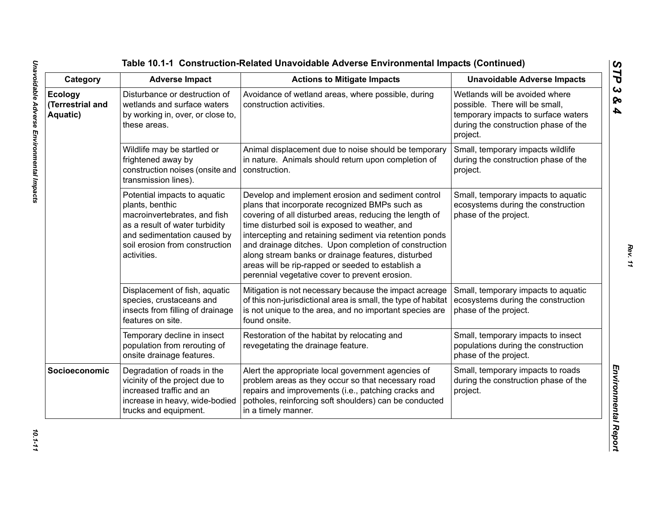| Category                                | <b>Adverse Impact</b>                                                                                                                                                                             | <b>Actions to Mitigate Impacts</b>                                                                                                                                                                                                                                                                                                                                                                                                                                                                 | <b>Unavoidable Adverse Impacts</b>                                                                                                                          |
|-----------------------------------------|---------------------------------------------------------------------------------------------------------------------------------------------------------------------------------------------------|----------------------------------------------------------------------------------------------------------------------------------------------------------------------------------------------------------------------------------------------------------------------------------------------------------------------------------------------------------------------------------------------------------------------------------------------------------------------------------------------------|-------------------------------------------------------------------------------------------------------------------------------------------------------------|
| Ecology<br>(Terrestrial and<br>Aquatic) | Disturbance or destruction of<br>wetlands and surface waters<br>by working in, over, or close to,<br>these areas.                                                                                 | Avoidance of wetland areas, where possible, during<br>construction activities.                                                                                                                                                                                                                                                                                                                                                                                                                     | Wetlands will be avoided where<br>possible. There will be small,<br>temporary impacts to surface waters<br>during the construction phase of the<br>project. |
|                                         | Wildlife may be startled or<br>frightened away by<br>construction noises (onsite and<br>transmission lines).                                                                                      | Animal displacement due to noise should be temporary<br>in nature. Animals should return upon completion of<br>construction.                                                                                                                                                                                                                                                                                                                                                                       | Small, temporary impacts wildlife<br>during the construction phase of the<br>project.                                                                       |
|                                         | Potential impacts to aquatic<br>plants, benthic<br>macroinvertebrates, and fish<br>as a result of water turbidity<br>and sedimentation caused by<br>soil erosion from construction<br>activities. | Develop and implement erosion and sediment control<br>plans that incorporate recognized BMPs such as<br>covering of all disturbed areas, reducing the length of<br>time disturbed soil is exposed to weather, and<br>intercepting and retaining sediment via retention ponds<br>and drainage ditches. Upon completion of construction<br>along stream banks or drainage features, disturbed<br>areas will be rip-rapped or seeded to establish a<br>perennial vegetative cover to prevent erosion. | Small, temporary impacts to aquatic<br>ecosystems during the construction<br>phase of the project.                                                          |
|                                         | Displacement of fish, aquatic<br>species, crustaceans and<br>insects from filling of drainage<br>features on site.                                                                                | Mitigation is not necessary because the impact acreage<br>of this non-jurisdictional area is small, the type of habitat<br>is not unique to the area, and no important species are<br>found onsite.                                                                                                                                                                                                                                                                                                | Small, temporary impacts to aquatic<br>ecosystems during the construction<br>phase of the project.                                                          |
|                                         | Temporary decline in insect<br>population from rerouting of<br>onsite drainage features.                                                                                                          | Restoration of the habitat by relocating and<br>revegetating the drainage feature.                                                                                                                                                                                                                                                                                                                                                                                                                 | Small, temporary impacts to insect<br>populations during the construction<br>phase of the project.                                                          |
| Socioeconomic                           | Degradation of roads in the<br>vicinity of the project due to<br>increased traffic and an<br>increase in heavy, wide-bodied<br>trucks and equipment.                                              | Alert the appropriate local government agencies of<br>problem areas as they occur so that necessary road<br>repairs and improvements (i.e., patching cracks and<br>potholes, reinforcing soft shoulders) can be conducted<br>in a timely manner.                                                                                                                                                                                                                                                   | Small, temporary impacts to roads<br>during the construction phase of the<br>project.                                                                       |

*STP 3 & 4*

10.1-11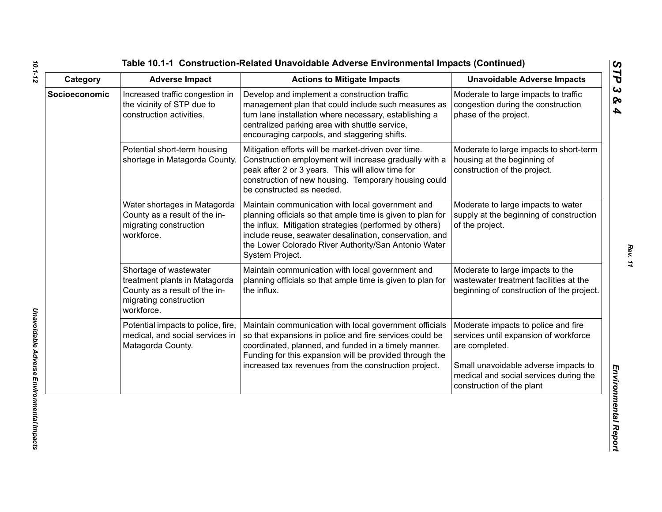| Category      | <b>Adverse Impact</b>                                                                                                            | <b>Actions to Mitigate Impacts</b>                                                                                                                                                                                                                                                                              | <b>Unavoidable Adverse Impacts</b>                                                                                                                                                                            |
|---------------|----------------------------------------------------------------------------------------------------------------------------------|-----------------------------------------------------------------------------------------------------------------------------------------------------------------------------------------------------------------------------------------------------------------------------------------------------------------|---------------------------------------------------------------------------------------------------------------------------------------------------------------------------------------------------------------|
| Socioeconomic | Increased traffic congestion in<br>the vicinity of STP due to<br>construction activities.                                        | Develop and implement a construction traffic<br>management plan that could include such measures as<br>turn lane installation where necessary, establishing a<br>centralized parking area with shuttle service,<br>encouraging carpools, and staggering shifts.                                                 | Moderate to large impacts to traffic<br>congestion during the construction<br>phase of the project.                                                                                                           |
|               | Potential short-term housing<br>shortage in Matagorda County.                                                                    | Mitigation efforts will be market-driven over time.<br>Construction employment will increase gradually with a<br>peak after 2 or 3 years. This will allow time for<br>construction of new housing. Temporary housing could<br>be constructed as needed.                                                         | Moderate to large impacts to short-term<br>housing at the beginning of<br>construction of the project.                                                                                                        |
|               | Water shortages in Matagorda<br>County as a result of the in-<br>migrating construction<br>workforce.                            | Maintain communication with local government and<br>planning officials so that ample time is given to plan for<br>the influx. Mitigation strategies (performed by others)<br>include reuse, seawater desalination, conservation, and<br>the Lower Colorado River Authority/San Antonio Water<br>System Project. | Moderate to large impacts to water<br>supply at the beginning of construction<br>of the project.                                                                                                              |
|               | Shortage of wastewater<br>treatment plants in Matagorda<br>County as a result of the in-<br>migrating construction<br>workforce. | Maintain communication with local government and<br>planning officials so that ample time is given to plan for<br>the influx.                                                                                                                                                                                   | Moderate to large impacts to the<br>wastewater treatment facilities at the<br>beginning of construction of the project.                                                                                       |
|               | Potential impacts to police, fire,<br>medical, and social services in<br>Matagorda County.                                       | Maintain communication with local government officials<br>so that expansions in police and fire services could be<br>coordinated, planned, and funded in a timely manner.<br>Funding for this expansion will be provided through the<br>increased tax revenues from the construction project.                   | Moderate impacts to police and fire<br>services until expansion of workforce<br>are completed.<br>Small unavoidable adverse impacts to<br>medical and social services during the<br>construction of the plant |

*10.1-12*

*Rev. 11*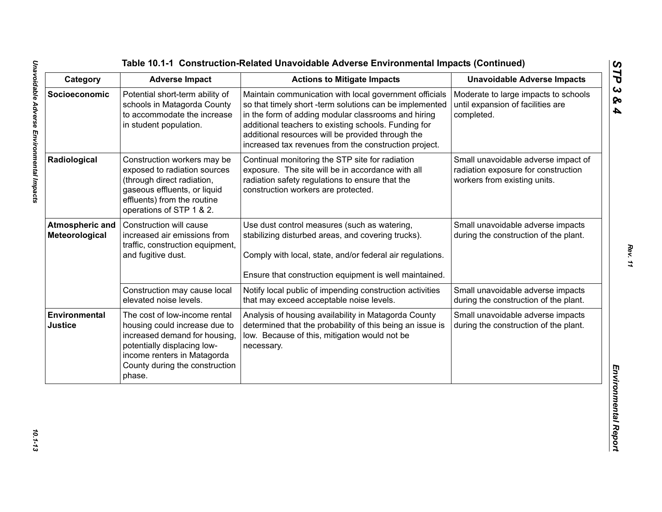| Category                                 | <b>Adverse Impact</b>                                                                                                                                                                                     | <b>Actions to Mitigate Impacts</b>                                                                                                                                                                                                                                                                                                             | <b>Unavoidable Adverse Impacts</b>                                                                         |
|------------------------------------------|-----------------------------------------------------------------------------------------------------------------------------------------------------------------------------------------------------------|------------------------------------------------------------------------------------------------------------------------------------------------------------------------------------------------------------------------------------------------------------------------------------------------------------------------------------------------|------------------------------------------------------------------------------------------------------------|
| Socioeconomic                            | Potential short-term ability of<br>schools in Matagorda County<br>to accommodate the increase<br>in student population.                                                                                   | Maintain communication with local government officials<br>so that timely short -term solutions can be implemented<br>in the form of adding modular classrooms and hiring<br>additional teachers to existing schools. Funding for<br>additional resources will be provided through the<br>increased tax revenues from the construction project. | Moderate to large impacts to schools<br>until expansion of facilities are<br>completed.                    |
| Radiological                             | Construction workers may be<br>exposed to radiation sources<br>(through direct radiation,<br>gaseous effluents, or liquid<br>effluents) from the routine<br>operations of STP 1 & 2.                      | Continual monitoring the STP site for radiation<br>exposure. The site will be in accordance with all<br>radiation safety regulations to ensure that the<br>construction workers are protected.                                                                                                                                                 | Small unavoidable adverse impact of<br>radiation exposure for construction<br>workers from existing units. |
| <b>Atmospheric and</b><br>Meteorological | Construction will cause<br>increased air emissions from<br>traffic, construction equipment,<br>and fugitive dust.                                                                                         | Use dust control measures (such as watering,<br>stabilizing disturbed areas, and covering trucks).<br>Comply with local, state, and/or federal air regulations.<br>Ensure that construction equipment is well maintained.                                                                                                                      | Small unavoidable adverse impacts<br>during the construction of the plant.                                 |
|                                          | Construction may cause local<br>elevated noise levels.                                                                                                                                                    | Notify local public of impending construction activities<br>that may exceed acceptable noise levels.                                                                                                                                                                                                                                           | Small unavoidable adverse impacts<br>during the construction of the plant.                                 |
| Environmental<br><b>Justice</b>          | The cost of low-income rental<br>housing could increase due to<br>increased demand for housing,<br>potentially displacing low-<br>income renters in Matagorda<br>County during the construction<br>phase. | Analysis of housing availability in Matagorda County<br>determined that the probability of this being an issue is<br>low. Because of this, mitigation would not be<br>necessary.                                                                                                                                                               | Small unavoidable adverse impacts<br>during the construction of the plant.                                 |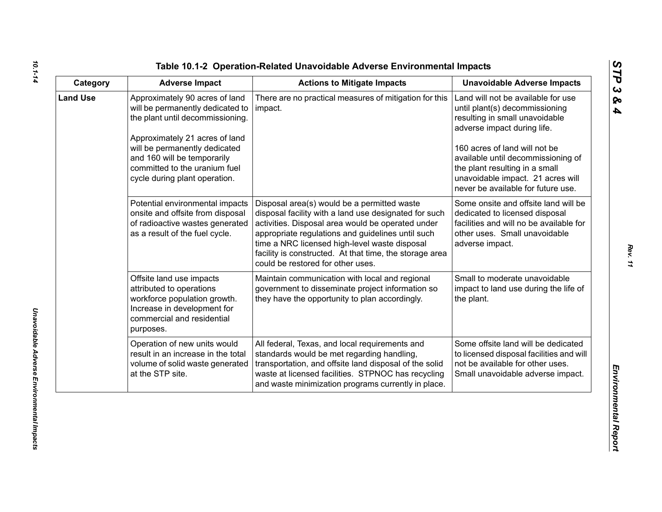| ທ  |
|----|
|    |
| C  |
| ພ  |
| ∞  |
| A, |

| Category        | <b>Adverse Impact</b>                                                                                                                                                                                                                                                      | <b>Actions to Mitigate Impacts</b>                                                                                                                                                                                                                                                                                                                              | <b>Unavoidable Adverse Impacts</b>                                                                                                                                                                                                                                                                                        |
|-----------------|----------------------------------------------------------------------------------------------------------------------------------------------------------------------------------------------------------------------------------------------------------------------------|-----------------------------------------------------------------------------------------------------------------------------------------------------------------------------------------------------------------------------------------------------------------------------------------------------------------------------------------------------------------|---------------------------------------------------------------------------------------------------------------------------------------------------------------------------------------------------------------------------------------------------------------------------------------------------------------------------|
| <b>Land Use</b> | Approximately 90 acres of land<br>will be permanently dedicated to<br>the plant until decommissioning.<br>Approximately 21 acres of land<br>will be permanently dedicated<br>and 160 will be temporarily<br>committed to the uranium fuel<br>cycle during plant operation. | There are no practical measures of mitigation for this<br>impact.                                                                                                                                                                                                                                                                                               | Land will not be available for use<br>until plant(s) decommissioning<br>resulting in small unavoidable<br>adverse impact during life.<br>160 acres of land will not be<br>available until decommissioning of<br>the plant resulting in a small<br>unavoidable impact. 21 acres will<br>never be available for future use. |
|                 | Potential environmental impacts<br>onsite and offsite from disposal<br>of radioactive wastes generated<br>as a result of the fuel cycle.                                                                                                                                   | Disposal area(s) would be a permitted waste<br>disposal facility with a land use designated for such<br>activities. Disposal area would be operated under<br>appropriate regulations and guidelines until such<br>time a NRC licensed high-level waste disposal<br>facility is constructed. At that time, the storage area<br>could be restored for other uses. | Some onsite and offsite land will be<br>dedicated to licensed disposal<br>facilities and will no be available for<br>other uses. Small unavoidable<br>adverse impact.                                                                                                                                                     |
|                 | Offsite land use impacts<br>attributed to operations<br>workforce population growth.<br>Increase in development for<br>commercial and residential<br>purposes.                                                                                                             | Maintain communication with local and regional<br>government to disseminate project information so<br>they have the opportunity to plan accordingly.                                                                                                                                                                                                            | Small to moderate unavoidable<br>impact to land use during the life of<br>the plant.                                                                                                                                                                                                                                      |
|                 | Operation of new units would<br>result in an increase in the total<br>volume of solid waste generated<br>at the STP site.                                                                                                                                                  | All federal, Texas, and local requirements and<br>standards would be met regarding handling,<br>transportation, and offsite land disposal of the solid<br>waste at licensed facilities. STPNOC has recycling<br>and waste minimization programs currently in place.                                                                                             | Some offsite land will be dedicated<br>to licensed disposal facilities and will<br>not be available for other uses.<br>Small unavoidable adverse impact.                                                                                                                                                                  |

*10.1-14*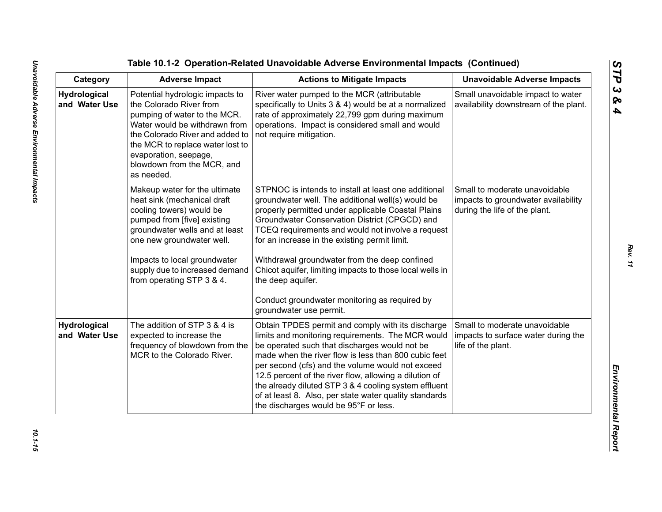Table 10.1-2 Operation-Related Unavoidable Adverse Emplore<br>
Category Adverse Impact<br>
Category Adverse Impact<br>
Marchard Involved Marcha Constant Action to Miligate Impacts<br>
Marchard Involved Marcha Constant Constant Constan

*Rev. 11*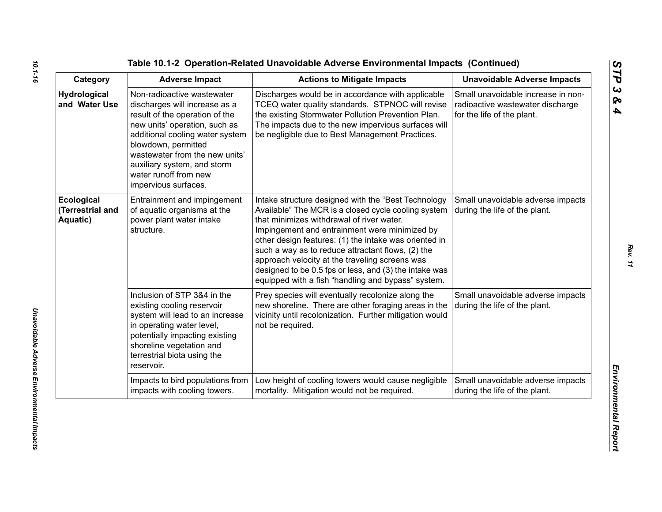| Category                                   | <b>Adverse Impact</b>                                                                                                                                                                                                                                                                                      | <b>Actions to Mitigate Impacts</b>                                                                                                                                                                                                                                                                                                                                                                                                                                                       | <b>Unavoidable Adverse Impacts</b>                                                                   |
|--------------------------------------------|------------------------------------------------------------------------------------------------------------------------------------------------------------------------------------------------------------------------------------------------------------------------------------------------------------|------------------------------------------------------------------------------------------------------------------------------------------------------------------------------------------------------------------------------------------------------------------------------------------------------------------------------------------------------------------------------------------------------------------------------------------------------------------------------------------|------------------------------------------------------------------------------------------------------|
| <b>Hydrological</b><br>and Water Use       | Non-radioactive wastewater<br>discharges will increase as a<br>result of the operation of the<br>new units' operation, such as<br>additional cooling water system<br>blowdown, permitted<br>wastewater from the new units'<br>auxiliary system, and storm<br>water runoff from new<br>impervious surfaces. | Discharges would be in accordance with applicable<br>TCEQ water quality standards. STPNOC will revise<br>the existing Stormwater Pollution Prevention Plan.<br>The impacts due to the new impervious surfaces will<br>be negligible due to Best Management Practices.                                                                                                                                                                                                                    | Small unavoidable increase in non-<br>radioactive wastewater discharge<br>for the life of the plant. |
| Ecological<br>(Terrestrial and<br>Aquatic) | Entrainment and impingement<br>of aquatic organisms at the<br>power plant water intake<br>structure.                                                                                                                                                                                                       | Intake structure designed with the "Best Technology<br>Available" The MCR is a closed cycle cooling system<br>that minimizes withdrawal of river water.<br>Impingement and entrainment were minimized by<br>other design features: (1) the intake was oriented in<br>such a way as to reduce attractant flows, (2) the<br>approach velocity at the traveling screens was<br>designed to be 0.5 fps or less, and (3) the intake was<br>equipped with a fish "handling and bypass" system. | Small unavoidable adverse impacts<br>during the life of the plant.                                   |
|                                            | Inclusion of STP 3&4 in the<br>existing cooling reservoir<br>system will lead to an increase<br>in operating water level,<br>potentially impacting existing<br>shoreline vegetation and<br>terrestrial biota using the<br>reservoir.                                                                       | Prey species will eventually recolonize along the<br>new shoreline. There are other foraging areas in the<br>vicinity until recolonization. Further mitigation would<br>not be required.                                                                                                                                                                                                                                                                                                 | Small unavoidable adverse impacts<br>during the life of the plant.                                   |
|                                            | Impacts to bird populations from<br>impacts with cooling towers.                                                                                                                                                                                                                                           | Low height of cooling towers would cause negligible<br>mortality. Mitigation would not be required.                                                                                                                                                                                                                                                                                                                                                                                      | Small unavoidable adverse impacts<br>during the life of the plant.                                   |